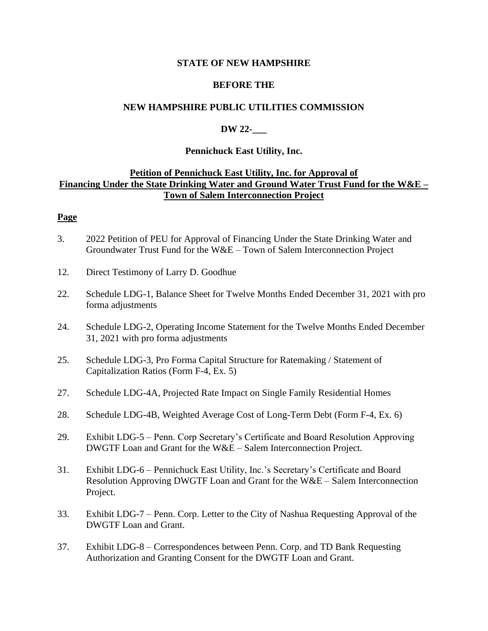#### **STATE OF NEW HAMPSHIRE**

### **BEFORE THE**

# **NEW HAMPSHIRE PUBLIC UTILITIES COMMISSION**

# **DW 22-\_\_\_**

### **Pennichuck East Utility, Inc.**

# **Petition of Pennichuck East Utility, Inc. for Approval of Financing Under the State Drinking Water and Ground Water Trust Fund for the W&E – Town of Salem Interconnection Project**

#### **Page**

- 3. 2022 Petition of PEU for Approval of Financing Under the State Drinking Water and Groundwater Trust Fund for the W&E – Town of Salem Interconnection Project
- 12. Direct Testimony of Larry D. Goodhue
- 22. Schedule LDG-1, Balance Sheet for Twelve Months Ended December 31, 2021 with pro forma adjustments
- 24. Schedule LDG-2, Operating Income Statement for the Twelve Months Ended December 31, 2021 with pro forma adjustments
- 25. Schedule LDG-3, Pro Forma Capital Structure for Ratemaking / Statement of Capitalization Ratios (Form F-4, Ex. 5)
- 27. Schedule LDG-4A, Projected Rate Impact on Single Family Residential Homes
- 28. Schedule LDG-4B, Weighted Average Cost of Long-Term Debt (Form F-4, Ex. 6)
- 29. Exhibit LDG-5 Penn. Corp Secretary's Certificate and Board Resolution Approving DWGTF Loan and Grant for the W&E – Salem Interconnection Project.
- 31. Exhibit LDG-6 Pennichuck East Utility, Inc.'s Secretary's Certificate and Board Resolution Approving DWGTF Loan and Grant for the W&E – Salem Interconnection Project.
- 33. Exhibit LDG-7 Penn. Corp. Letter to the City of Nashua Requesting Approval of the DWGTF Loan and Grant.
- 37. Exhibit LDG-8 Correspondences between Penn. Corp. and TD Bank Requesting Authorization and Granting Consent for the DWGTF Loan and Grant.